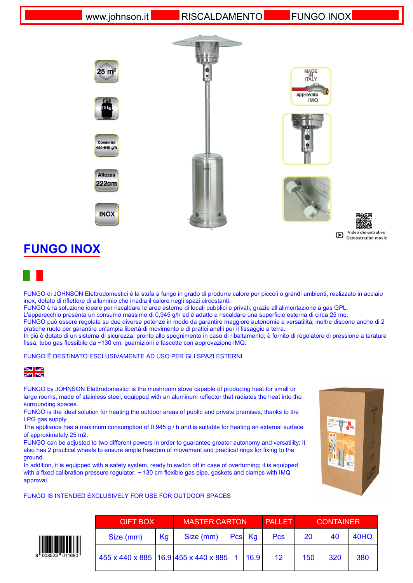www.johnson.it RISCALDAMENTO FUNGO INOX

MADE<br>IN<br>ITALY

**IMQ** 



Video dimostrativo Demostration movie

## **FUNGO INOX**

FUNGO di JOHNSON Elettrodomestici è la stufa a fungo in grado di produrre calore per piccoli o grandi ambienti, realizzato in acciaio inox, dotato di riflettore di alluminio che irradia il calore negli spazi circostanti.

FUNGO è la soluzione ideale per riscaldare le aree esterne di locali pubblici e privati, grazie all'alimentazione a gas GPL.

L'apparecchio presenta un consumo massimo di 0,945 g/h ed è adatto a riscaldare una superficie esterna di circa 25 mq.

FUNGO può essere regolata su due diverse potenze in modo da garantire maggiore autonomia e versatilità; inoltre dispone anche di 2 pratiche ruote per garantire un'ampia libertà di movimento e di pratici anelli per il fissaggio a terra.

In più è dotato di un sistema di sicurezza, pronto allo spegnimento in caso di ribaltamento; è fornito di regolatore di pressione a taratura fissa, tubo gas flessibile da ~130 cm, guarnizioni e fascette con approvazione IMQ.

FUNGO È DESTINATO ESCLUSIVAMENTE AD USO PER GLI SPAZI ESTERNI



FUNGO by JOHNSON Elettrodomestici is the mushroom stove capable of producing heat for small or large rooms, made of stainless steel, equipped with an aluminum reflector that radiates the heat into the surrounding spaces.

FUNGO is the ideal solution for heating the outdoor areas of public and private premises, thanks to the LPG gas supply.

The appliance has a maximum consumption of 0.945 g / h and is suitable for heating an external surface of approximately 25 m2.

FUNGO can be adjusted to two different powers in order to guarantee greater autonomy and versatility; it also has 2 practical wheels to ensure ample freedom of movement and practical rings for fixing to the ground.

In addition, it is equipped with a safety system, ready to switch off in case of overturning; it is equipped with a fixed calibration pressure regulator,  $\sim$  130 cm flexible gas pipe, gaskets and clamps with IMQ approval.





| <b>GIFT BOX</b>                             |      | <b>MASTER CARTON</b> |  |        | <b>PALLET</b>   | <b>CONTAINER</b> |     |      |
|---------------------------------------------|------|----------------------|--|--------|-----------------|------------------|-----|------|
| Size (mm)                                   | Kg l | Size (mm)            |  | Pcs Kg | <b>Pcs</b>      | 20               | 40  | 40HQ |
| 455 x 440 x 885 16.9 455 x 440 x 885 1 16.9 |      |                      |  |        | 12 <sup>1</sup> | 150              | 320 | 380  |